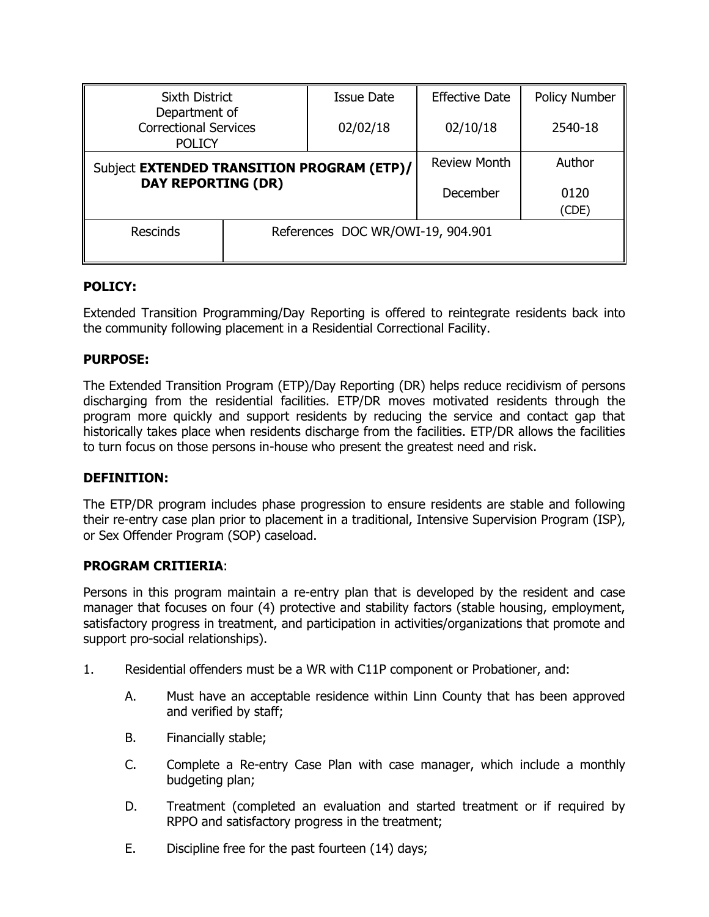| <b>Sixth District</b><br>Department of<br><b>Correctional Services</b><br><b>POLICY</b> |  | <b>Issue Date</b>                 | <b>Effective Date</b> | Policy Number |
|-----------------------------------------------------------------------------------------|--|-----------------------------------|-----------------------|---------------|
|                                                                                         |  | 02/02/18                          | 02/10/18              | 2540-18       |
| Subject EXTENDED TRANSITION PROGRAM (ETP)/<br><b>DAY REPORTING (DR)</b>                 |  |                                   | <b>Review Month</b>   | Author        |
|                                                                                         |  |                                   | December              | 0120<br>(CDE) |
| <b>Rescinds</b>                                                                         |  | References DOC WR/OWI-19, 904.901 |                       |               |

### **POLICY:**

Extended Transition Programming/Day Reporting is offered to reintegrate residents back into the community following placement in a Residential Correctional Facility.

#### **PURPOSE:**

The Extended Transition Program (ETP)/Day Reporting (DR) helps reduce recidivism of persons discharging from the residential facilities. ETP/DR moves motivated residents through the program more quickly and support residents by reducing the service and contact gap that historically takes place when residents discharge from the facilities. ETP/DR allows the facilities to turn focus on those persons in-house who present the greatest need and risk.

#### **DEFINITION:**

The ETP/DR program includes phase progression to ensure residents are stable and following their re-entry case plan prior to placement in a traditional, Intensive Supervision Program (ISP), or Sex Offender Program (SOP) caseload.

#### **PROGRAM CRITIERIA**:

Persons in this program maintain a re-entry plan that is developed by the resident and case manager that focuses on four (4) protective and stability factors (stable housing, employment, satisfactory progress in treatment, and participation in activities/organizations that promote and support pro-social relationships).

- 1. Residential offenders must be a WR with C11P component or Probationer, and:
	- A. Must have an acceptable residence within Linn County that has been approved and verified by staff;
	- B. Financially stable;
	- C. Complete a Re-entry Case Plan with case manager, which include a monthly budgeting plan;
	- D. Treatment (completed an evaluation and started treatment or if required by RPPO and satisfactory progress in the treatment;
	- E. Discipline free for the past fourteen (14) days;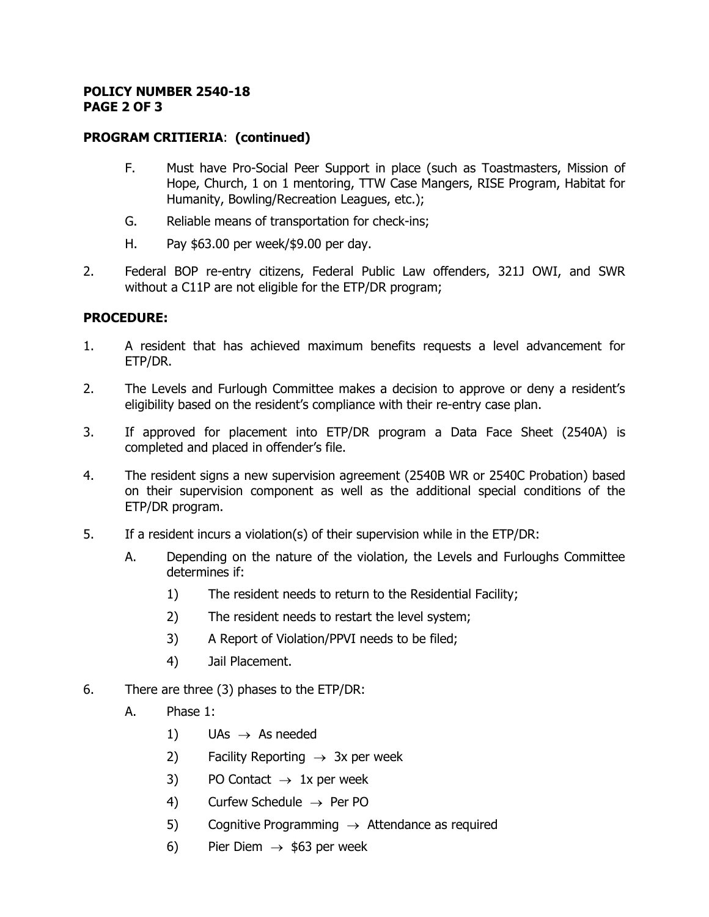#### **POLICY NUMBER 2540-18 PAGE 2 OF 3**

#### **PROGRAM CRITIERIA**: **(continued)**

- F. Must have Pro-Social Peer Support in place (such as Toastmasters, Mission of Hope, Church, 1 on 1 mentoring, TTW Case Mangers, RISE Program, Habitat for Humanity, Bowling/Recreation Leagues, etc.);
- G. Reliable means of transportation for check-ins;
- H. Pay \$63.00 per week/\$9.00 per day.
- 2. Federal BOP re-entry citizens, Federal Public Law offenders, 321J OWI, and SWR without a C11P are not eligible for the ETP/DR program;

### **PROCEDURE:**

- 1. A resident that has achieved maximum benefits requests a level advancement for ETP/DR.
- 2. The Levels and Furlough Committee makes a decision to approve or deny a resident's eligibility based on the resident's compliance with their re-entry case plan.
- 3. If approved for placement into ETP/DR program a Data Face Sheet (2540A) is completed and placed in offender's file.
- 4. The resident signs a new supervision agreement (2540B WR or 2540C Probation) based on their supervision component as well as the additional special conditions of the ETP/DR program.
- 5. If a resident incurs a violation(s) of their supervision while in the ETP/DR:
	- A. Depending on the nature of the violation, the Levels and Furloughs Committee determines if:
		- 1) The resident needs to return to the Residential Facility;
		- 2) The resident needs to restart the level system;
		- 3) A Report of Violation/PPVI needs to be filed;
		- 4) Jail Placement.
- 6. There are three (3) phases to the ETP/DR:
	- A. Phase 1:
		- 1) UAs  $\rightarrow$  As needed
		- 2) Facility Reporting  $\rightarrow$  3x per week
		- 3) PO Contact  $\rightarrow$  1x per week
		- 4) Curfew Schedule  $\rightarrow$  Per PO
		- 5) Cognitive Programming  $\rightarrow$  Attendance as required
		- 6) Pier Diem  $\rightarrow$  \$63 per week